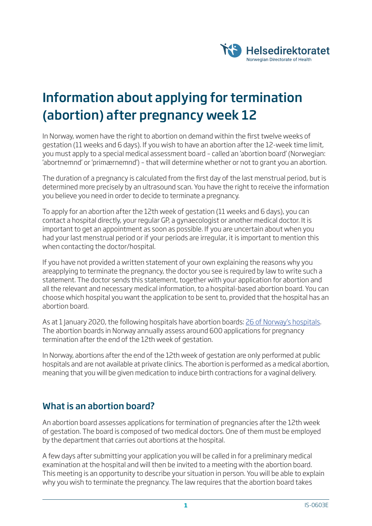

# Information about applying for termination (abortion) after pregnancy week 12

In Norway, women have the right to abortion on demand within the first twelve weeks of gestation (11 weeks and 6 days). If you wish to have an abortion after the 12-week time limit, you must apply to a special medical assessment board – called an 'abortion board' (Norwegian: 'abortnemnd' or 'primærnemnd') – that will determine whether or not to grant you an abortion.

The duration of a pregnancy is calculated from the first day of the last menstrual period, but is determined more precisely by an ultrasound scan. You have the right to receive the information you believe you need in order to decide to terminate a pregnancy.

To apply for an abortion after the 12th week of gestation (11 weeks and 6 days), you can contact a hospital directly, your regular GP, a gynaecologist or another medical doctor. It is important to get an appointment as soon as possible. If you are uncertain about when you had your last menstrual period or if your periods are irregular, it is important to mention this when contacting the doctor/hospital.

If you have not provided a written statement of your own explaining the reasons why you areapplying to terminate the pregnancy, the doctor you see is required by law to write such a statement. The doctor sends this statement, together with your application for abortion and all the relevant and necessary medical information, to a hospital-based abortion board. You can choose which hospital you want the application to be sent to, provided that the hospital has an abortion board.

As at 1 January 2020, the following hospitals have abortion boards: 26 of Norway's hospitals. The abortion boards in Norway annually assess around 600 applications for pregnancy termination after the end of the 12th week of gestation.

In Norway, abortions after the end of the 12th week of gestation are only performed at public hospitals and are not available at private clinics. The abortion is performed as a medical abortion, meaning that you will be given medication to induce birth contractions for a vaginal delivery.

## What is an abortion board?

An abortion board assesses applications for termination of pregnancies after the 12th week of gestation. The board is composed of two medical doctors. One of them must be employed by the department that carries out abortions at the hospital.

A few days after submitting your application you will be called in for a preliminary medical examination at the hospital and will then be invited to a meeting with the abortion board. This meeting is an opportunity to describe your situation in person. You will be able to explain why you wish to terminate the pregnancy. The law requires that the abortion board takes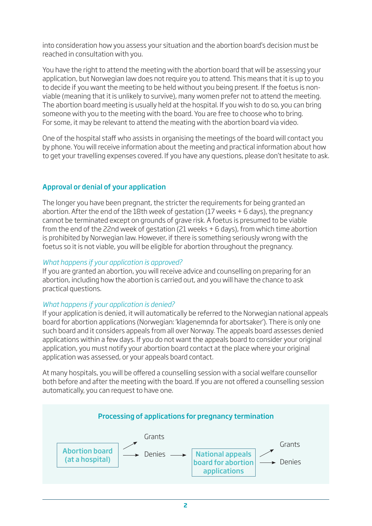into consideration how you assess your situation and the abortion board's decision must be reached in consultation with you.

You have the right to attend the meeting with the abortion board that will be assessing your application, but Norwegian law does not require you to attend. This means that it is up to you to decide if you want the meeting to be held without you being present. If the foetus is nonviable (meaning that it is unlikely to survive), many women prefer not to attend the meeting. The abortion board meeting is usually held at the hospital. If you wish to do so, you can bring someone with you to the meeting with the board. You are free to choose who to bring. For some, it may be relevant to attend the meating with the abortion board via video.

One of the hospital staff who assists in organising the meetings of the board will contact you by phone. You will receive information about the meeting and practical information about how to get your travelling expenses covered. If you have any questions, please don't hesitate to ask.

#### Approval or denial of your application

The longer you have been pregnant, the stricter the requirements for being granted an abortion. After the end of the 18th week of gestation (17 weeks + 6 days), the pregnancy cannot be terminated except on grounds of grave risk. A foetus is presumed to be viable from the end of the 22nd week of gestation (21 weeks + 6 days), from which time abortion is prohibited by Norwegian law. However, if there is something seriously wrong with the foetus so it is not viable, you will be eligible for abortion throughout the pregnancy.

#### *What happens if your application is approved?*

If you are granted an abortion, you will receive advice and counselling on preparing for an abortion, including how the abortion is carried out, and you will have the chance to ask practical questions.

#### *What happens if your application is denied?*

If your application is denied, it will automatically be referred to the Norwegian national appeals board for abortion applications (Norwegian: 'klagenemnda for abortsaker'). There is only one such board and it considers appeals from all over Norway. The appeals board assesses denied applications within a few days. If you do not want the appeals board to consider your original application, you must notify your abortion board contact at the place where your original application was assessed, or your appeals board contact.

At many hospitals, you will be offered a counselling session with a social welfare counsellor both before and after the meeting with the board. If you are not offered a counselling session automatically, you can request to have one.

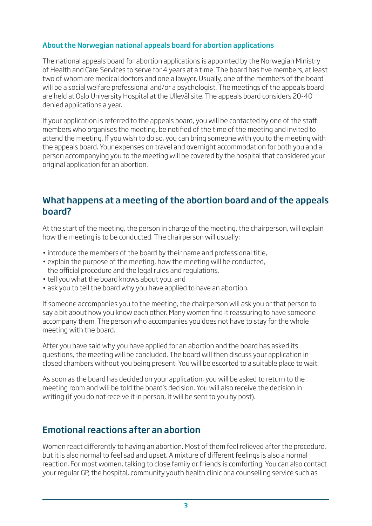### About the Norwegian national appeals board for abortion applications

The national appeals board for abortion applications is appointed by the Norwegian Ministry of Health and Care Services to serve for 4 years at a time. The board has five members, at least two of whom are medical doctors and one a lawyer. Usually, one of the members of the board will be a social welfare professional and/or a psychologist. The meetings of the appeals board are held at Oslo University Hospital at the Ullevål site. The appeals board considers 20-40 denied applications a year.

If your application is referred to the appeals board, you will be contacted by one of the staff members who organises the meeting, be notified of the time of the meeting and invited to attend the meeting. If you wish to do so, you can bring someone with you to the meeting with the appeals board. Your expenses on travel and overnight accommodation for both you and a person accompanying you to the meeting will be covered by the hospital that considered your original application for an abortion.

## What happens at a meeting of the abortion board and of the appeals board?

At the start of the meeting, the person in charge of the meeting, the chairperson, will explain how the meeting is to be conducted. The chairperson will usually:

- introduce the members of the board by their name and professional title,
- explain the purpose of the meeting, how the meeting will be conducted, the official procedure and the legal rules and regulations,
- tell you what the board knows about you, and
- ask you to tell the board why you have applied to have an abortion.

If someone accompanies you to the meeting, the chairperson will ask you or that person to say a bit about how you know each other. Many women find it reassuring to have someone accompany them. The person who accompanies you does not have to stay for the whole meeting with the board.

After you have said why you have applied for an abortion and the board has asked its questions, the meeting will be concluded. The board will then discuss your application in closed chambers without you being present. You will be escorted to a suitable place to wait.

As soon as the board has decided on your application, you will be asked to return to the meeting room and will be told the board's decision. You will also receive the decision in writing (if you do not receive it in person, it will be sent to you by post).

## Emotional reactions after an abortion

Women react differently to having an abortion. Most of them feel relieved after the procedure, but it is also normal to feel sad and upset. A mixture of different feelings is also a normal reaction. For most women, talking to close family or friends is comforting. You can also contact your regular GP, the hospital, community youth health clinic or a counselling service such as